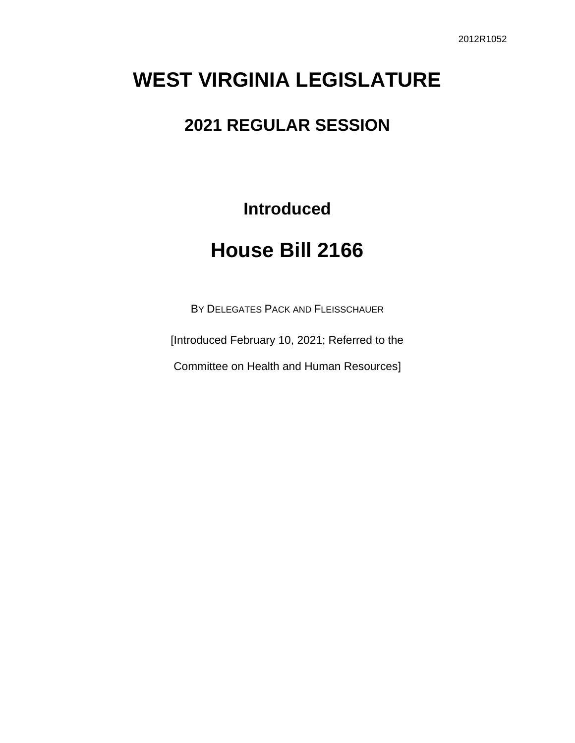# **WEST VIRGINIA LEGISLATURE**

### **2021 REGULAR SESSION**

**Introduced**

## **House Bill 2166**

BY DELEGATES PACK AND FLEISSCHAUER

[Introduced February 10, 2021; Referred to the

Committee on Health and Human Resources]